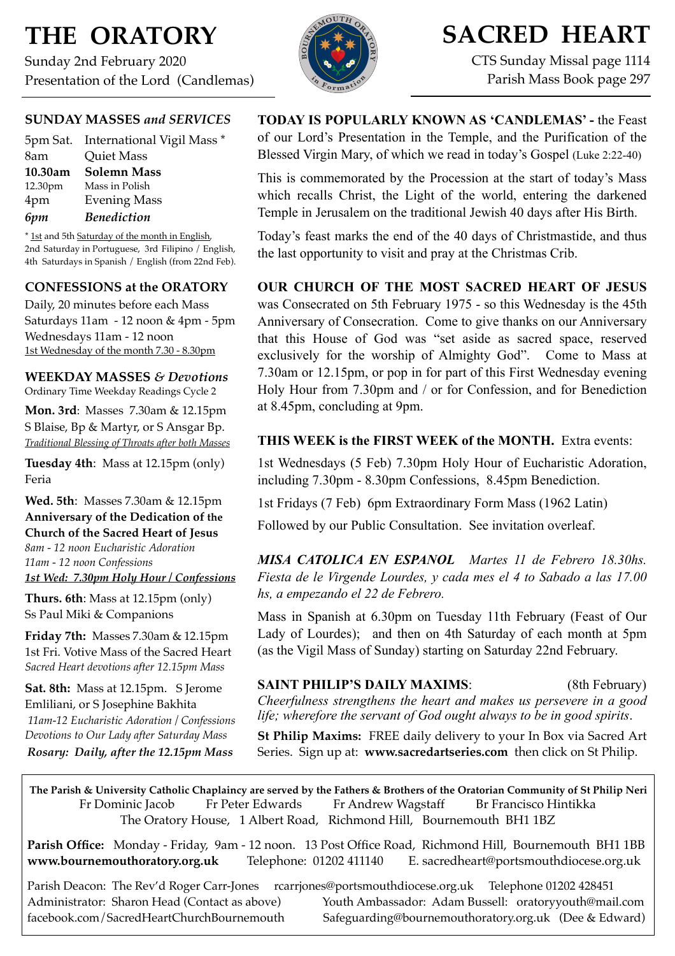# **THE ORATORY**

Sunday 2nd February 2020 Presentation of the Lord (Candlemas)



# **SACRED HEART**

CTS Sunday Missal page 1114 Parish Mass Book page 297

### **SUNDAY MASSES** *and SERVICES*

|         | 5pm Sat. International Vigil Mass * |
|---------|-------------------------------------|
| 8am     | <b>Quiet Mass</b>                   |
| 10.30am | <b>Solemn Mass</b>                  |
| 12.30pm | Mass in Polish                      |
| 4pm     | <b>Evening Mass</b>                 |
| 6pm     | <b>Benediction</b>                  |

\* 1st and 5th Saturday of the month in English, 2nd Saturday in Portuguese, 3rd Filipino / English, 4th Saturdays in Spanish / English (from 22nd Feb).

### **CONFESSIONS at the ORATORY**

Daily, 20 minutes before each Mass Saturdays 11am - 12 noon & 4pm - 5pm Wednesdays 11am - 12 noon 1st Wednesday of the month 7.30 - 8.30pm

### **WEEKDAY MASSES** *& Devotions*

Ordinary Time Weekday Readings Cycle 2

**Mon. 3rd**: Masses 7.30am & 12.15pm S Blaise, Bp & Martyr, or S Ansgar Bp. *Traditional Blessing of Throats after both Masses*

**Tuesday 4th**: Mass at 12.15pm (only) Feria

### **Wed. 5th**: Masses 7.30am & 12.15pm **Anniversary of the Dedication of the Church of the Sacred Heart of Jesus** *8am - 12 noon Eucharistic Adoration*

*11am - 12 noon Confessions 1st Wed: 7.30pm Holy Hour / Confessions*

**Thurs. 6th**: Mass at 12.15pm (only) Ss Paul Miki & Companions

**Friday 7th:** Masses 7.30am & 12.15pm 1st Fri. Votive Mass of the Sacred Heart *Sacred Heart devotions after 12.15pm Mass*

**Sat. 8th:** Mass at 12.15pm. S Jerome Emliliani, or S Josephine Bakhita *11am-12 Eucharistic Adoration / Confessions Devotions to Our Lady after Saturday Mass*

*Rosary: Daily, after the 12.15pm Mass*

**TODAY IS POPULARLY KNOWN AS 'CANDLEMAS' -** the Feast of our Lord's Presentation in the Temple, and the Purification of the Blessed Virgin Mary, of which we read in today's Gospel (Luke 2:22-40)

This is commemorated by the Procession at the start of today's Mass which recalls Christ, the Light of the world, entering the darkened Temple in Jerusalem on the traditional Jewish 40 days after His Birth.

Today's feast marks the end of the 40 days of Christmastide, and thus the last opportunity to visit and pray at the Christmas Crib.

### **OUR CHURCH OF THE MOST SACRED HEART OF JESUS**

was Consecrated on 5th February 1975 - so this Wednesday is the 45th Anniversary of Consecration. Come to give thanks on our Anniversary that this House of God was "set aside as sacred space, reserved exclusively for the worship of Almighty God". Come to Mass at 7.30am or 12.15pm, or pop in for part of this First Wednesday evening Holy Hour from 7.30pm and / or for Confession, and for Benediction at 8.45pm, concluding at 9pm.

### **THIS WEEK is the FIRST WEEK of the MONTH.** Extra events:

1st Wednesdays (5 Feb) 7.30pm Holy Hour of Eucharistic Adoration, including 7.30pm - 8.30pm Confessions, 8.45pm Benediction.

1st Fridays (7 Feb) 6pm Extraordinary Form Mass (1962 Latin)

Followed by our Public Consultation. See invitation overleaf.

*MISA CATOLICA EN ESPANOL Martes 11 de Febrero 18.30hs. Fiesta de le Virgende Lourdes, y cada mes el 4 to Sabado a las 17.00 hs, a empezando el 22 de Febrero.* 

Mass in Spanish at 6.30pm on Tuesday 11th February (Feast of Our Lady of Lourdes); and then on 4th Saturday of each month at 5pm (as the Vigil Mass of Sunday) starting on Saturday 22nd February.

### **SAINT PHILIP'S DAILY MAXIMS:** (8th February)

*Cheerfulness strengthens the heart and makes us persevere in a good life; wherefore the servant of God ought always to be in good spirits*.

**St Philip Maxims:** FREE daily delivery to your In Box via Sacred Art Series. Sign up at: **[www.sacredartseries.com](http://www.sacredartseries.com)** then click on St Philip.

**The Parish & University Catholic Chaplaincy are served by the Fathers & Brothers of the Oratorian Community of St Philip Neri**  Fr Dominic Jacob Fr Peter Edwards Fr Andrew Wagstaff Br Francisco Hintikka The Oratory House, 1 Albert Road, Richmond Hill, Bournemouth BH1 1BZ

**Parish Office:** Monday - Friday, 9am - 12 noon. 13 Post Office Road, Richmond Hill, Bournemouth BH1 1BB **[www.bournemouthoratory.org.uk](http://www.bournemoithoratory.org.uk)** Telephone: 01202 411140 E. [sacredheart@portsmouthdiocese.org.uk](mailto:sacredheart@portsmouthdiocese.org.uk)

Parish Deacon: The Rev'd Roger Carr-Jones [rcarrjones@portsmouthdiocese.org.uk](mailto:rcarrjones@portsmouthdiocese.org.uk) Telephone 01202 428451 Administrator: Sharon Head (Contact as above) Youth Ambassador: Adam Bussell: [oratoryyouth@mail.com](http://oratoryyouth.mail.com) [facebook.com/SacredHeartChurchBournemouth](http://facebook.com/SaccredHeartChurchBournemouth) [Safeguarding@bournemouthoratory.org.uk](mailto:safeguarding@bournemouthoratory.org.uk) (Dee & Edward)